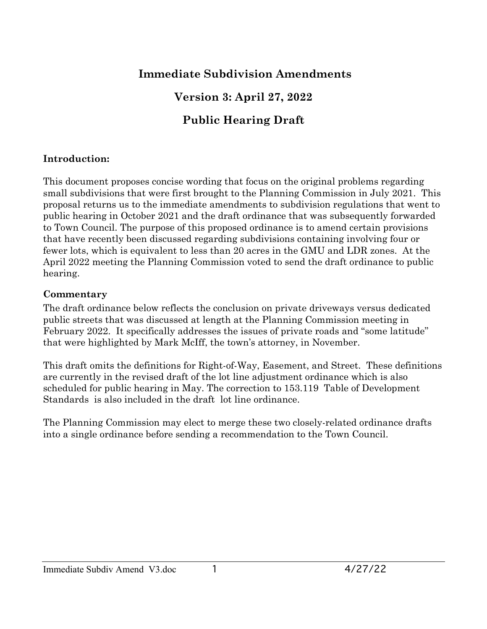# **Immediate Subdivision Amendments**

# **Version 3: April 27, 2022**

# **Public Hearing Draft**

### **Introduction:**

This document proposes concise wording that focus on the original problems regarding small subdivisions that were first brought to the Planning Commission in July 2021. This proposal returns us to the immediate amendments to subdivision regulations that went to public hearing in October 2021 and the draft ordinance that was subsequently forwarded to Town Council. The purpose of this proposed ordinance is to amend certain provisions that have recently been discussed regarding subdivisions containing involving four or fewer lots, which is equivalent to less than 20 acres in the GMU and LDR zones. At the April 2022 meeting the Planning Commission voted to send the draft ordinance to public hearing.

#### **Commentary**

The draft ordinance below reflects the conclusion on private driveways versus dedicated public streets that was discussed at length at the Planning Commission meeting in February 2022. It specifically addresses the issues of private roads and "some latitude" that were highlighted by Mark McIff, the town's attorney, in November.

This draft omits the definitions for Right-of-Way, Easement, and Street. These definitions are currently in the revised draft of the lot line adjustment ordinance which is also scheduled for public hearing in May. The correction to 153.119 Table of Development Standards is also included in the draft lot line ordinance.

The Planning Commission may elect to merge these two closely-related ordinance drafts into a single ordinance before sending a recommendation to the Town Council.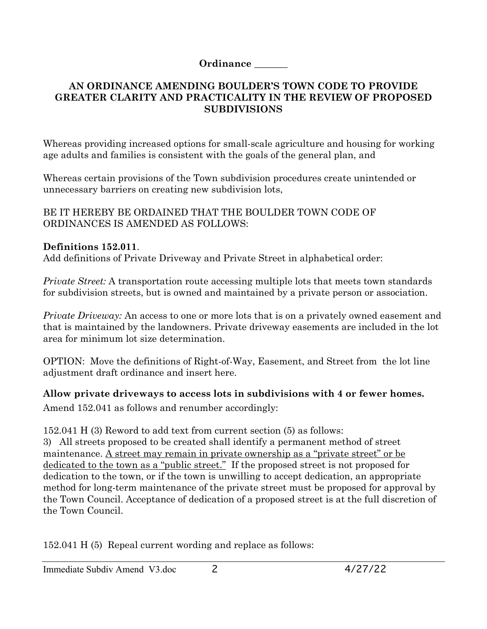#### **Ordinance \_\_\_\_\_\_\_**

#### **AN ORDINANCE AMENDING BOULDER'S TOWN CODE TO PROVIDE GREATER CLARITY AND PRACTICALITY IN THE REVIEW OF PROPOSED SUBDIVISIONS**

Whereas providing increased options for small-scale agriculture and housing for working age adults and families is consistent with the goals of the general plan, and

Whereas certain provisions of the Town subdivision procedures create unintended or unnecessary barriers on creating new subdivision lots,

BE IT HEREBY BE ORDAINED THAT THE BOULDER TOWN CODE OF ORDINANCES IS AMENDED AS FOLLOWS:

### **Definitions 152.011**.

Add definitions of Private Driveway and Private Street in alphabetical order:

*Private Street:* A transportation route accessing multiple lots that meets town standards for subdivision streets, but is owned and maintained by a private person or association.

*Private Driveway:* An access to one or more lots that is on a privately owned easement and that is maintained by the landowners. Private driveway easements are included in the lot area for minimum lot size determination.

OPTION: Move the definitions of Right-of-Way, Easement, and Street from the lot line adjustment draft ordinance and insert here.

**Allow private driveways to access lots in subdivisions with 4 or fewer homes.**

Amend 152.041 as follows and renumber accordingly:

152.041 H (3) Reword to add text from current section (5) as follows:

3) All streets proposed to be created shall identify a permanent method of street maintenance. <u>A street may remain in private ownership as a "private street" or be</u> dedicated to the town as a "public street." If the proposed street is not proposed for dedication to the town, or if the town is unwilling to accept dedication, an appropriate method for long-term maintenance of the private street must be proposed for approval by the Town Council. Acceptance of dedication of a proposed street is at the full discretion of the Town Council.

152.041 H (5) Repeal current wording and replace as follows: